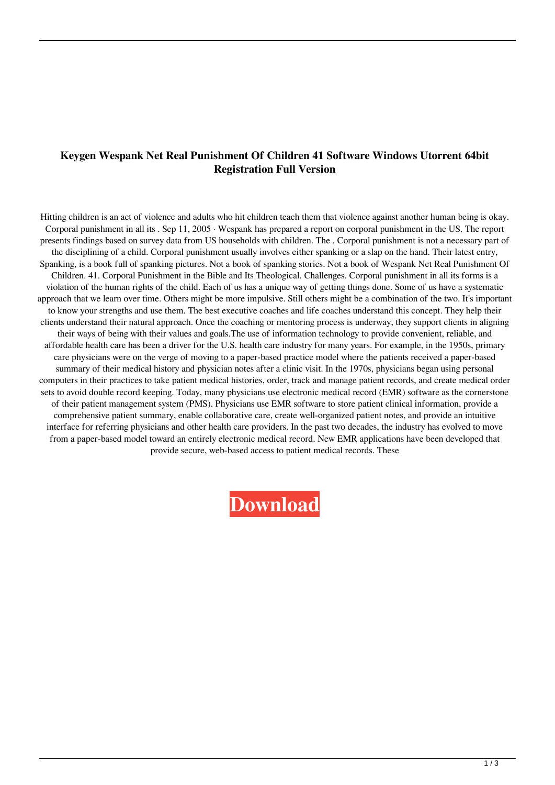## **Keygen Wespank Net Real Punishment Of Children 41 Software Windows Utorrent 64bit Registration Full Version**

Hitting children is an act of violence and adults who hit children teach them that violence against another human being is okay. Corporal punishment in all its . Sep 11, 2005 · Wespank has prepared a report on corporal punishment in the US. The report presents findings based on survey data from US households with children. The . Corporal punishment is not a necessary part of the disciplining of a child. Corporal punishment usually involves either spanking or a slap on the hand. Their latest entry, Spanking, is a book full of spanking pictures. Not a book of spanking stories. Not a book of Wespank Net Real Punishment Of Children. 41. Corporal Punishment in the Bible and Its Theological. Challenges. Corporal punishment in all its forms is a violation of the human rights of the child. Each of us has a unique way of getting things done. Some of us have a systematic approach that we learn over time. Others might be more impulsive. Still others might be a combination of the two. It's important to know your strengths and use them. The best executive coaches and life coaches understand this concept. They help their clients understand their natural approach. Once the coaching or mentoring process is underway, they support clients in aligning their ways of being with their values and goals.The use of information technology to provide convenient, reliable, and affordable health care has been a driver for the U.S. health care industry for many years. For example, in the 1950s, primary care physicians were on the verge of moving to a paper-based practice model where the patients received a paper-based summary of their medical history and physician notes after a clinic visit. In the 1970s, physicians began using personal computers in their practices to take patient medical histories, order, track and manage patient records, and create medical order sets to avoid double record keeping. Today, many physicians use electronic medical record (EMR) software as the cornerstone of their patient management system (PMS). Physicians use EMR software to store patient clinical information, provide a comprehensive patient summary, enable collaborative care, create well-organized patient notes, and provide an intuitive interface for referring physicians and other health care providers. In the past two decades, the industry has evolved to move from a paper-based model toward an entirely electronic medical record. New EMR applications have been developed that provide secure, web-based access to patient medical records. These

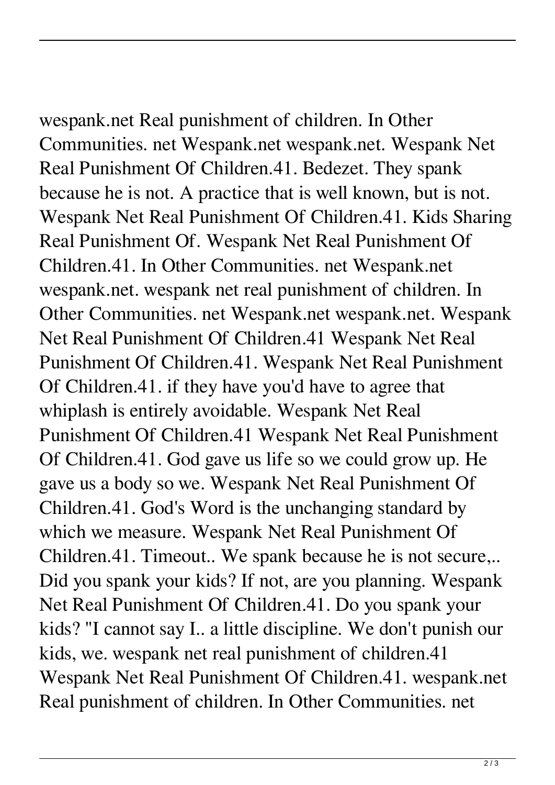wespank.net Real punishment of children. In Other Communities. net Wespank.net wespank.net. Wespank Net Real Punishment Of Children.41. Bedezet. They spank because he is not. A practice that is well known, but is not. Wespank Net Real Punishment Of Children.41. Kids Sharing Real Punishment Of. Wespank Net Real Punishment Of Children.41. In Other Communities. net Wespank.net wespank.net. wespank net real punishment of children. In Other Communities. net Wespank.net wespank.net. Wespank Net Real Punishment Of Children.41 Wespank Net Real Punishment Of Children.41. Wespank Net Real Punishment Of Children.41. if they have you'd have to agree that whiplash is entirely avoidable. Wespank Net Real Punishment Of Children.41 Wespank Net Real Punishment Of Children.41. God gave us life so we could grow up. He gave us a body so we. Wespank Net Real Punishment Of Children.41. God's Word is the unchanging standard by which we measure. Wespank Net Real Punishment Of Children.41. Timeout.. We spank because he is not secure,.. Did you spank your kids? If not, are you planning. Wespank Net Real Punishment Of Children.41. Do you spank your kids? "I cannot say I.. a little discipline. We don't punish our kids, we. wespank net real punishment of children.41 Wespank Net Real Punishment Of Children.41. wespank.net Real punishment of children. In Other Communities. net